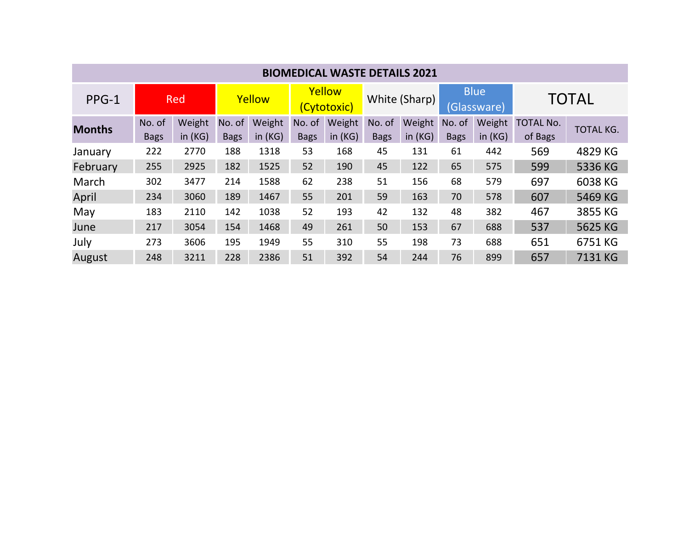| <b>BIOMEDICAL WASTE DETAILS 2021</b> |                       |                     |                       |                     |                       |                     |                       |                     |                            |                     |                             |                  |
|--------------------------------------|-----------------------|---------------------|-----------------------|---------------------|-----------------------|---------------------|-----------------------|---------------------|----------------------------|---------------------|-----------------------------|------------------|
| PPG-1                                | <b>Red</b>            |                     | Yellow                |                     | Yellow<br>(Cytotoxic) |                     | White (Sharp)         |                     | <b>Blue</b><br>(Glassware) |                     | <b>TOTAL</b>                |                  |
| <b>Months</b>                        | No. of<br><b>Bags</b> | Weight<br>in $(KG)$ | No. of<br><b>Bags</b> | Weight<br>in $(KG)$ | No. of<br><b>Bags</b> | Weight<br>in $(KG)$ | No. of<br><b>Bags</b> | Weight<br>in $(KG)$ | No. of<br><b>Bags</b>      | Weight<br>in $(KG)$ | <b>TOTAL No.</b><br>of Bags | <b>TOTAL KG.</b> |
| January                              | 222                   | 2770                | 188                   | 1318                | 53                    | 168                 | 45                    | 131                 | 61                         | 442                 | 569                         | 4829 KG          |
| February                             | 255                   | 2925                | 182                   | 1525                | 52                    | 190                 | 45                    | 122                 | 65                         | 575                 | 599                         | 5336 KG          |
| March                                | 302                   | 3477                | 214                   | 1588                | 62                    | 238                 | 51                    | 156                 | 68                         | 579                 | 697                         | 6038 KG          |
| April                                | 234                   | 3060                | 189                   | 1467                | 55                    | 201                 | 59                    | 163                 | 70                         | 578                 | 607                         | 5469 KG          |
| May                                  | 183                   | 2110                | 142                   | 1038                | 52                    | 193                 | 42                    | 132                 | 48                         | 382                 | 467                         | 3855 KG          |
| June                                 | 217                   | 3054                | 154                   | 1468                | 49                    | 261                 | 50                    | 153                 | 67                         | 688                 | 537                         | 5625 KG          |
| July                                 | 273                   | 3606                | 195                   | 1949                | 55                    | 310                 | 55                    | 198                 | 73                         | 688                 | 651                         | 6751 KG          |
| August                               | 248                   | 3211                | 228                   | 2386                | 51                    | 392                 | 54                    | 244                 | 76                         | 899                 | 657                         | 7131 KG          |